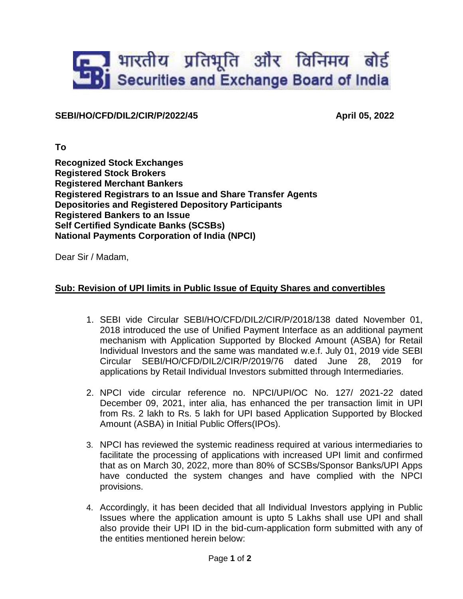## **End** भारतीय प्रतिभूति और विनिमय बोर्ड<br>Bj Securities and Exchange Board of India

## **SEBI/HO/CFD/DIL2/CIR/P/2022/45 April 05, 2022**

**To**

**Recognized Stock Exchanges Registered Stock Brokers Registered Merchant Bankers Registered Registrars to an Issue and Share Transfer Agents Depositories and Registered Depository Participants Registered Bankers to an Issue Self Certified Syndicate Banks (SCSBs) National Payments Corporation of India (NPCI)**

Dear Sir / Madam,

## **Sub: Revision of UPI limits in Public Issue of Equity Shares and convertibles**

- 1. SEBI vide Circular SEBI/HO/CFD/DIL2/CIR/P/2018/138 dated November 01, 2018 introduced the use of Unified Payment Interface as an additional payment mechanism with Application Supported by Blocked Amount (ASBA) for Retail Individual Investors and the same was mandated w.e.f. July 01, 2019 vide SEBI Circular SEBI/HO/CFD/DIL2/CIR/P/2019/76 dated June 28, 2019 for applications by Retail Individual Investors submitted through Intermediaries.
- 2. NPCI vide circular reference no. NPCI/UPI/OC No. 127/ 2021-22 dated December 09, 2021, inter alia, has enhanced the per transaction limit in UPI from Rs. 2 lakh to Rs. 5 lakh for UPI based Application Supported by Blocked Amount (ASBA) in Initial Public Offers(IPOs).
- 3. NPCI has reviewed the systemic readiness required at various intermediaries to facilitate the processing of applications with increased UPI limit and confirmed that as on March 30, 2022, more than 80% of SCSBs/Sponsor Banks/UPI Apps have conducted the system changes and have complied with the NPCI provisions.
- 4. Accordingly, it has been decided that all Individual Investors applying in Public Issues where the application amount is upto 5 Lakhs shall use UPI and shall also provide their UPI ID in the bid-cum-application form submitted with any of the entities mentioned herein below: